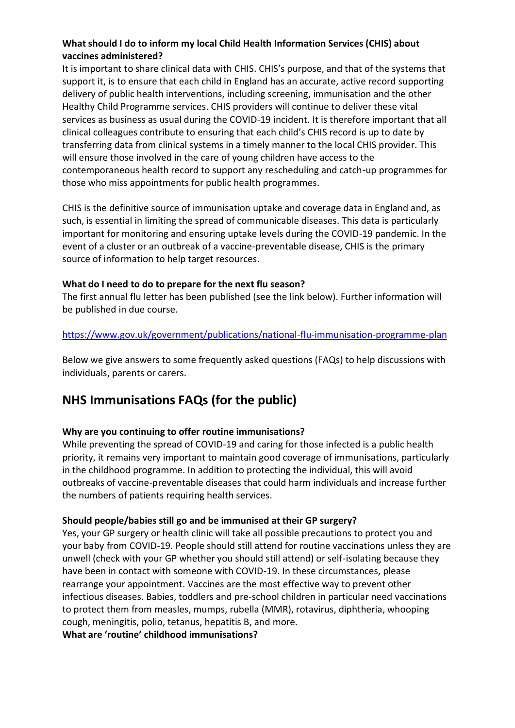# **What should I do to inform my local Child Health Information Services (CHIS) about vaccines administered?**

It is important to share clinical data with CHIS. CHIS's purpose, and that of the systems that support it, is to ensure that each child in England has an accurate, active record supporting delivery of public health interventions, including screening, immunisation and the other Healthy Child Programme services. CHIS providers will continue to deliver these vital services as business as usual during the COVID-19 incident. It is therefore important that all clinical colleagues contribute to ensuring that each child's CHIS record is up to date by transferring data from clinical systems in a timely manner to the local CHIS provider. This will ensure those involved in the care of young children have access to the contemporaneous health record to support any rescheduling and catch-up programmes for those who miss appointments for public health programmes.

CHIS is the definitive source of immunisation uptake and coverage data in England and, as such, is essential in limiting the spread of communicable diseases. This data is particularly important for monitoring and ensuring uptake levels during the COVID-19 pandemic. In the event of a cluster or an outbreak of a vaccine-preventable disease, CHIS is the primary source of information to help target resources.

## **What do I need to do to prepare for the next flu season?**

The first annual flu letter has been published (see the link below). Further information will be published in due course.

## <https://www.gov.uk/government/publications/national-flu-immunisation-programme-plan>

Below we give answers to some frequently asked questions (FAQs) to help discussions with individuals, parents or carers.

# **NHS Immunisations FAQs (for the public)**

## **Why are you continuing to offer routine immunisations?**

While preventing the spread of COVID-19 and caring for those infected is a public health priority, it remains very important to maintain good coverage of immunisations, particularly in the childhood programme. In addition to protecting the individual, this will avoid outbreaks of vaccine-preventable diseases that could harm individuals and increase further the numbers of patients requiring health services.

#### **Should people/babies still go and be immunised at their GP surgery?**

Yes, your GP surgery or health clinic will take all possible precautions to protect you and your baby from COVID-19. People should still attend for routine vaccinations unless they are unwell (check with your GP whether you should still attend) or self-isolating because they have been in contact with someone with COVID-19. In these circumstances, please rearrange your appointment. Vaccines are the most effective way to prevent other infectious diseases. Babies, toddlers and pre-school children in particular need vaccinations to protect them from measles, mumps, rubella (MMR), rotavirus, diphtheria, whooping cough, meningitis, polio, tetanus, hepatitis B, and more.

**What are 'routine' childhood immunisations?**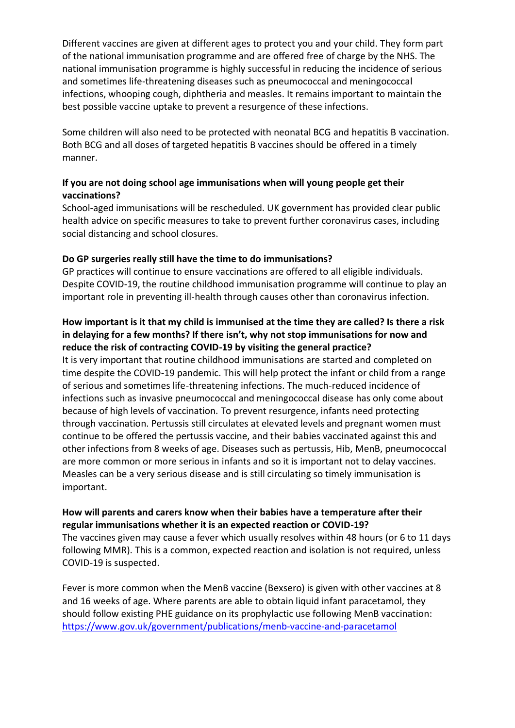Different vaccines are given at different ages to protect you and your child. They form part of the national immunisation programme and are offered free of charge by the NHS. The national immunisation programme is highly successful in reducing the incidence of serious and sometimes life-threatening diseases such as pneumococcal and meningococcal infections, whooping cough, diphtheria and measles. It remains important to maintain the best possible vaccine uptake to prevent a resurgence of these infections.

Some children will also need to be protected with neonatal BCG and hepatitis B vaccination. Both BCG and all doses of targeted hepatitis B vaccines should be offered in a timely manner.

# **If you are not doing school age immunisations when will young people get their vaccinations?**

School-aged immunisations will be rescheduled. UK government has provided clear public health advice on specific measures to take to prevent further coronavirus cases, including social distancing and school closures.

## **Do GP surgeries really still have the time to do immunisations?**

GP practices will continue to ensure vaccinations are offered to all eligible individuals. Despite COVID-19, the routine childhood immunisation programme will continue to play an important role in preventing ill-health through causes other than coronavirus infection.

## **How important is it that my child is immunised at the time they are called? Is there a risk in delaying for a few months? If there isn't, why not stop immunisations for now and reduce the risk of contracting COVID-19 by visiting the general practice?**

It is very important that routine childhood immunisations are started and completed on time despite the COVID-19 pandemic. This will help protect the infant or child from a range of serious and sometimes life-threatening infections. The much-reduced incidence of infections such as invasive pneumococcal and meningococcal disease has only come about because of high levels of vaccination. To prevent resurgence, infants need protecting through vaccination. Pertussis still circulates at elevated levels and pregnant women must continue to be offered the pertussis vaccine, and their babies vaccinated against this and other infections from 8 weeks of age. Diseases such as pertussis, Hib, MenB, pneumococcal are more common or more serious in infants and so it is important not to delay vaccines. Measles can be a very serious disease and is still circulating so timely immunisation is important.

## **How will parents and carers know when their babies have a temperature after their regular immunisations whether it is an expected reaction or COVID-19?**

The vaccines given may cause a fever which usually resolves within 48 hours (or 6 to 11 days following MMR). This is a common, expected reaction and isolation is not required, unless COVID-19 is suspected.

Fever is more common when the MenB vaccine (Bexsero) is given with other vaccines at 8 and 16 weeks of age. Where parents are able to obtain liquid infant paracetamol, they should follow existing PHE guidance on its prophylactic use following MenB vaccination: <https://www.gov.uk/government/publications/menb-vaccine-and-paracetamol>